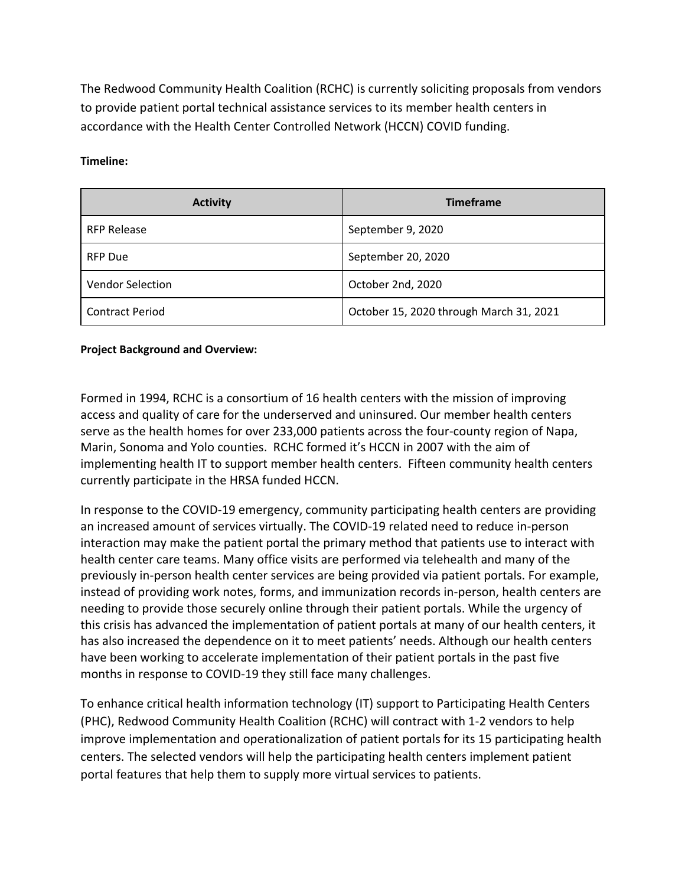The Redwood Community Health Coalition (RCHC) is currently soliciting proposals from vendors to provide patient portal technical assistance services to its member health centers in accordance with the Health Center Controlled Network (HCCN) COVID funding.

**Timeline:**

| <b>Activity</b>        | <b>Timeframe</b>                        |
|------------------------|-----------------------------------------|
| <b>RFP Release</b>     | September 9, 2020                       |
| <b>RFP Due</b>         | September 20, 2020                      |
| Vendor Selection       | October 2nd, 2020                       |
| <b>Contract Period</b> | October 15, 2020 through March 31, 2021 |

### **Project Background and Overview:**

Formed in 1994, RCHC is a consortium of 16 health centers with the mission of improving access and quality of care for the underserved and uninsured. Our member health centers serve as the health homes for over 233,000 patients across the four-county region of Napa, Marin, Sonoma and Yolo counties. RCHC formed it's HCCN in 2007 with the aim of implementing health IT to support member health centers. Fifteen community health centers currently participate in the HRSA funded HCCN.

In response to the COVID-19 emergency, community participating health centers are providing an increased amount of services virtually. The COVID-19 related need to reduce in-person interaction may make the patient portal the primary method that patients use to interact with health center care teams. Many office visits are performed via telehealth and many of the previously in-person health center services are being provided via patient portals. For example, instead of providing work notes, forms, and immunization records in-person, health centers are needing to provide those securely online through their patient portals. While the urgency of this crisis has advanced the implementation of patient portals at many of our health centers, it has also increased the dependence on it to meet patients' needs. Although our health centers have been working to accelerate implementation of their patient portals in the past five months in response to COVID-19 they still face many challenges.

To enhance critical health information technology (IT) support to Participating Health Centers (PHC), Redwood Community Health Coalition (RCHC) will contract with 1-2 vendors to help improve implementation and operationalization of patient portals for its 15 participating health centers. The selected vendors will help the participating health centers implement patient portal features that help them to supply more virtual services to patients.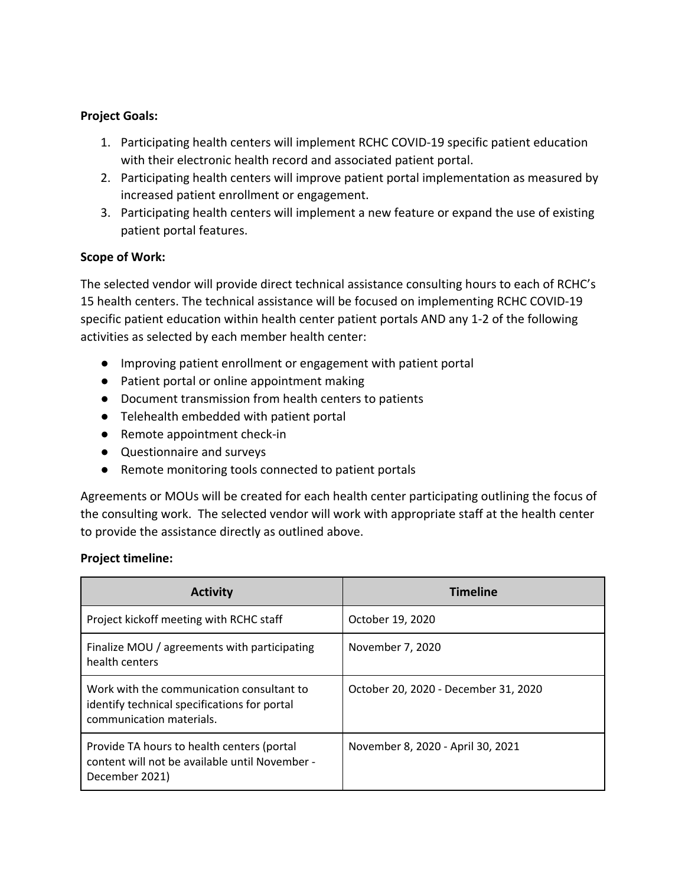# **Project Goals:**

- 1. Participating health centers will implement RCHC COVID-19 specific patient education with their electronic health record and associated patient portal.
- 2. Participating health centers will improve patient portal implementation as measured by increased patient enrollment or engagement.
- 3. Participating health centers will implement a new feature or expand the use of existing patient portal features.

# **Scope of Work:**

The selected vendor will provide direct technical assistance consulting hours to each of RCHC's 15 health centers. The technical assistance will be focused on implementing RCHC COVID-19 specific patient education within health center patient portals AND any 1-2 of the following activities as selected by each member health center:

- Improving patient enrollment or engagement with patient portal
- Patient portal or online appointment making
- Document transmission from health centers to patients
- Telehealth embedded with patient portal
- Remote appointment check-in
- Questionnaire and surveys
- Remote monitoring tools connected to patient portals

Agreements or MOUs will be created for each health center participating outlining the focus of the consulting work. The selected vendor will work with appropriate staff at the health center to provide the assistance directly as outlined above.

## **Project timeline:**

| <b>Activity</b>                                                                                                       | <b>Timeline</b>                      |
|-----------------------------------------------------------------------------------------------------------------------|--------------------------------------|
| Project kickoff meeting with RCHC staff                                                                               | October 19, 2020                     |
| Finalize MOU / agreements with participating<br>health centers                                                        | November 7, 2020                     |
| Work with the communication consultant to<br>identify technical specifications for portal<br>communication materials. | October 20, 2020 - December 31, 2020 |
| Provide TA hours to health centers (portal<br>content will not be available until November -<br>December 2021)        | November 8, 2020 - April 30, 2021    |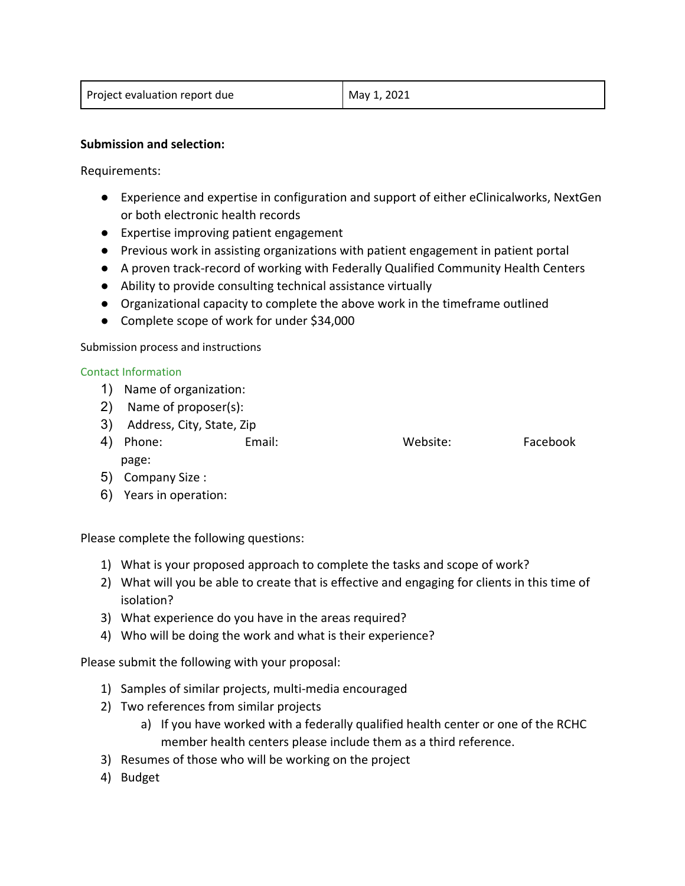| Project evaluation report due | May 1, 2021 |
|-------------------------------|-------------|
|                               |             |

### **Submission and selection:**

Requirements:

- Experience and expertise in configuration and support of either eClinicalworks, NextGen or both electronic health records
- Expertise improving patient engagement
- Previous work in assisting organizations with patient engagement in patient portal
- A proven track-record of working with Federally Qualified Community Health Centers
- Ability to provide consulting technical assistance virtually
- Organizational capacity to complete the above work in the timeframe outlined
- Complete scope of work for under \$34,000

Submission process and instructions

#### Contact Information

- 1) Name of organization:
- 2) Name of proposer(s):
- 3) Address, City, State, Zip
- 4) Phone: Email: Website: Facebook page:
- 5) Company Size :
- 6) Years in operation:

Please complete the following questions:

- 1) What is your proposed approach to complete the tasks and scope of work?
- 2) What will you be able to create that is effective and engaging for clients in this time of isolation?
- 3) What experience do you have in the areas required?
- 4) Who will be doing the work and what is their experience?

Please submit the following with your proposal:

- 1) Samples of similar projects, multi-media encouraged
- 2) Two references from similar projects
	- a) If you have worked with a federally qualified health center or one of the RCHC member health centers please include them as a third reference.
- 3) Resumes of those who will be working on the project
- 4) Budget